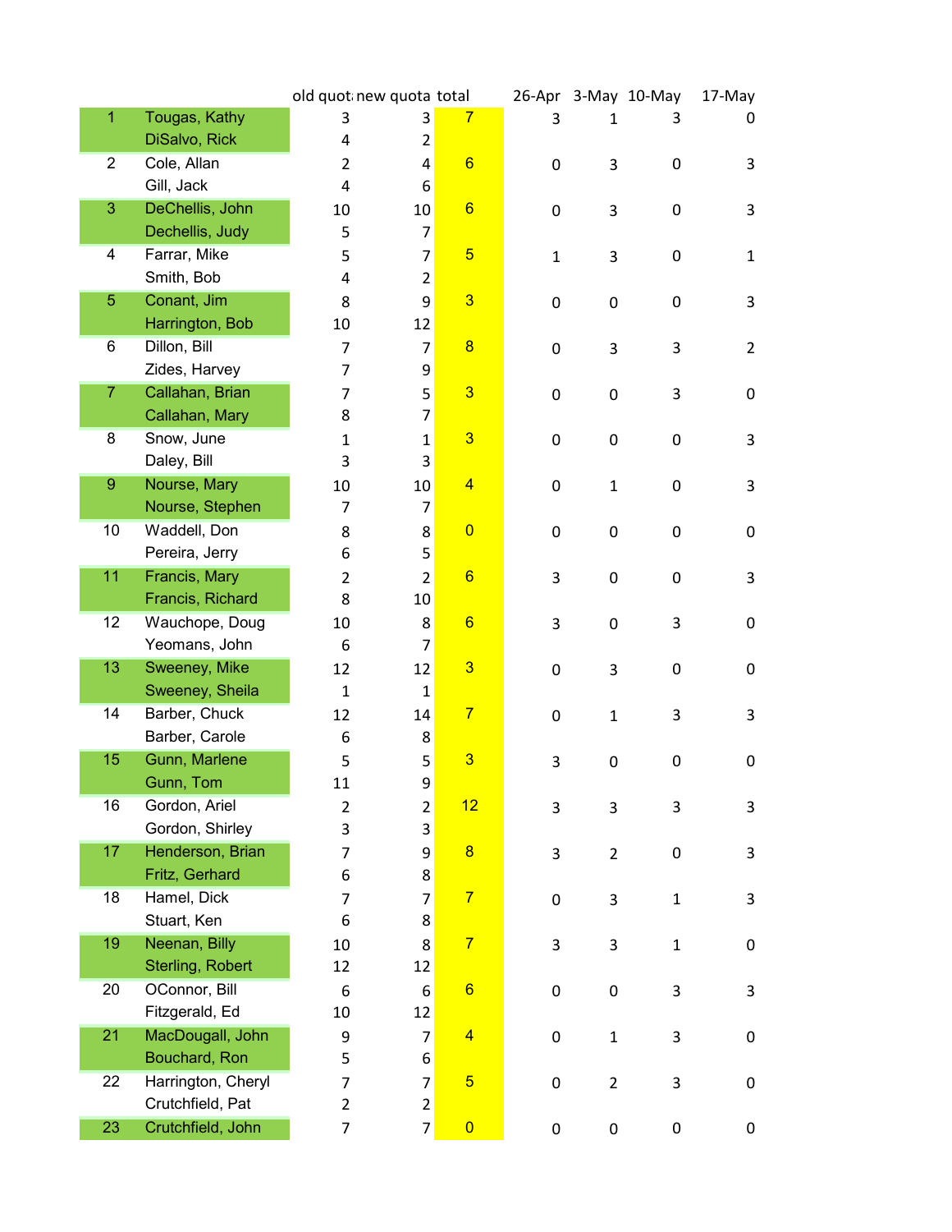|                |                    | old quot new quota total |                  |                         |             |                | 26-Apr 3-May 10-May | 17-May         |
|----------------|--------------------|--------------------------|------------------|-------------------------|-------------|----------------|---------------------|----------------|
| 1              | Tougas, Kathy      | 3                        | 3                | 7                       | 3           | 1              | 3                   | 0              |
|                | DiSalvo, Rick      | 4                        | 2                |                         |             |                |                     |                |
| $\overline{2}$ | Cole, Allan        | $\overline{2}$           | 4                | $6\phantom{1}6$         | 0           | 3              | 0                   | 3              |
|                | Gill, Jack         | 4                        | 6                |                         |             |                |                     |                |
| 3              | DeChellis, John    | 10                       | 10               | $6\phantom{1}6$         | 0           | 3              | 0                   | 3              |
|                | Dechellis, Judy    | 5                        | $\overline{7}$   |                         |             |                |                     |                |
| 4              | Farrar, Mike       | 5                        | $\overline{7}$   | $\overline{5}$          | $\mathbf 1$ | 3              | 0                   | $\mathbf{1}$   |
|                | Smith, Bob         | 4                        | $\overline{2}$   |                         |             |                |                     |                |
| 5              | Conant, Jim        | 8                        | 9                | $\overline{\mathbf{3}}$ | 0           | 0              | 0                   | 3              |
|                | Harrington, Bob    | 10                       | 12               |                         |             |                |                     |                |
| 6              | Dillon, Bill       | 7                        | $\overline{7}$   | $\overline{\mathbf{8}}$ | $\pmb{0}$   | 3              | 3                   | $\overline{2}$ |
|                | Zides, Harvey      | $\overline{7}$           | 9                |                         |             |                |                     |                |
| $\overline{7}$ | Callahan, Brian    | 7                        | 5                | $\overline{\mathbf{3}}$ | 0           | 0              | 3                   | 0              |
|                | Callahan, Mary     | 8                        | 7                |                         |             |                |                     |                |
| 8              | Snow, June         | $\mathbf{1}$             | $\mathbf{1}$     | $\overline{\mathbf{3}}$ | $\pmb{0}$   | $\mathbf 0$    | 0                   | 3              |
|                | Daley, Bill        | 3                        | 3                |                         |             |                |                     |                |
| $\overline{9}$ | Nourse, Mary       | 10                       | 10               | $\overline{\mathbf{4}}$ | 0           | $\mathbf{1}$   | 0                   | 3              |
|                | Nourse, Stephen    | 7                        | 7                |                         |             |                |                     |                |
| 10             | Waddell, Don       | 8                        | 8                | $\overline{0}$          | 0           | 0              | 0                   | 0              |
|                | Pereira, Jerry     | 6                        | 5                |                         |             |                |                     |                |
| 11             | Francis, Mary      | $\overline{2}$           | $\overline{2}$   | $6\phantom{1}6$         | 3           | 0              | 0                   | 3              |
|                | Francis, Richard   | 8                        | 10               |                         |             |                |                     |                |
| 12             | Wauchope, Doug     | 10                       | 8                | $6\phantom{1}6$         | 3           | 0              | 3                   | 0              |
|                | Yeomans, John      | 6                        | $\overline{7}$   |                         |             |                |                     |                |
| 13             | Sweeney, Mike      | 12                       | 12               | 3                       | 0           | 3              | 0                   | 0              |
|                | Sweeney, Sheila    | $\mathbf{1}$             | $\mathbf{1}$     |                         |             |                |                     |                |
| 14             | Barber, Chuck      | 12                       | 14               | $\overline{7}$          | 0           | $\mathbf{1}$   | 3                   | 3              |
|                | Barber, Carole     | 6                        | 8                |                         |             |                |                     |                |
| 15             | Gunn, Marlene      | 5                        | 5                | $\overline{3}$          | 3           | 0              | $\pmb{0}$           | 0              |
|                | Gunn, Tom          | 11                       | 9                |                         |             |                |                     |                |
| 16             | Gordon, Ariel      | $\overline{2}$           | $\overline{c}$   | 12                      | 3           | 3              | 3                   | 3              |
|                | Gordon, Shirley    | 3                        | 3                |                         |             |                |                     |                |
| 17             | Henderson, Brian   | $\overline{7}$           | 9                | $\overline{\mathbf{8}}$ | 3           | $\overline{2}$ | 0                   | 3              |
|                | Fritz, Gerhard     | 6                        | 8                |                         |             |                |                     |                |
| 18             | Hamel, Dick        | 7                        | $\overline{7}$   | $\overline{7}$          | $\pmb{0}$   | 3              | $\mathbf{1}$        | 3              |
|                | Stuart, Ken        | 6                        | 8                |                         |             |                |                     |                |
| 19             | Neenan, Billy      | 10                       | 8                | $\overline{7}$          | 3           | 3              | $\mathbf{1}$        | 0              |
|                | Sterling, Robert   | 12                       | 12               |                         |             |                |                     |                |
| 20             | OConnor, Bill      | 6                        | $\boldsymbol{6}$ | $6\phantom{1}6$         | $\pmb{0}$   | 0              | 3                   | 3              |
|                | Fitzgerald, Ed     | 10                       | 12               |                         |             |                |                     |                |
| 21             | MacDougall, John   | 9                        | $\overline{7}$   | $\overline{4}$          | $\pmb{0}$   | $\mathbf{1}$   | 3                   | 0              |
|                | Bouchard, Ron      | 5                        | 6                |                         |             |                |                     |                |
| 22             | Harrington, Cheryl | $\overline{7}$           | $\overline{7}$   | $\overline{5}$          | 0           | $\overline{2}$ | 3                   | 0              |
|                | Crutchfield, Pat   | $\overline{2}$           | $\overline{2}$   |                         |             |                |                     |                |
| 23             | Crutchfield, John  | $\overline{7}$           | $\overline{7}$   | $\overline{0}$          | 0           | 0              | 0                   | 0              |